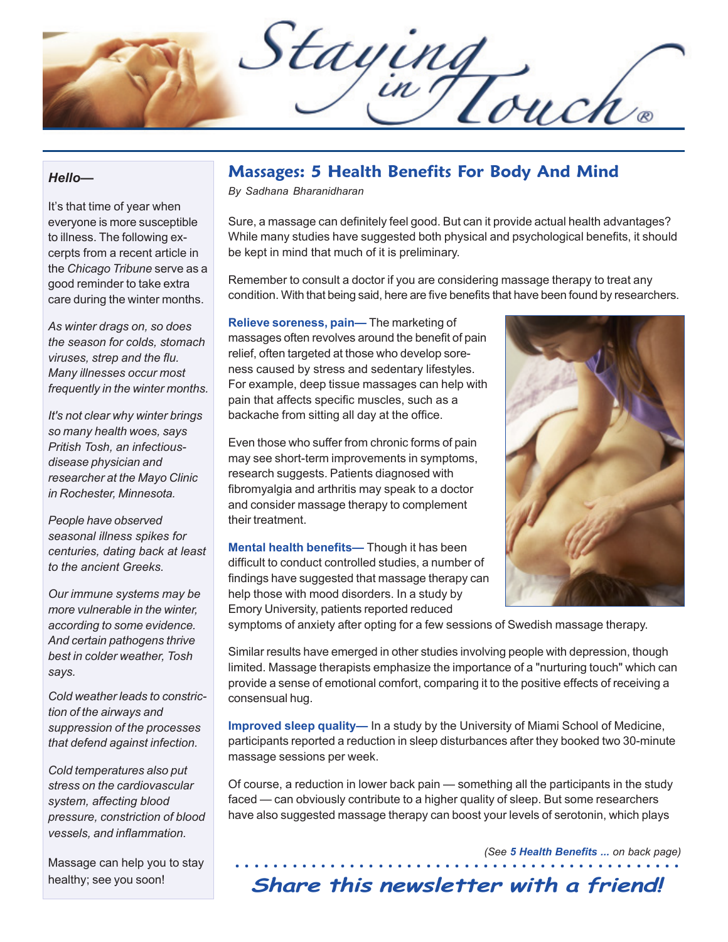Staying<br>Div Touch®

#### *Hello—*

It's that time of year when everyone is more susceptible to illness. The following excerpts from a recent article in the *Chicago Tribune* serve as a good reminder to take extra care during the winter months.

*As winter drags on, so does the season for colds, stomach viruses, strep and the flu. Many illnesses occur most frequently in the winter months.*

*It's not clear why winter brings so many health woes, says Pritish Tosh, an infectiousdisease physician and researcher at the Mayo Clinic in Rochester, Minnesota.*

*People have observed seasonal illness spikes for centuries, dating back at least to the ancient Greeks.*

*Our immune systems may be more vulnerable in the winter, according to some evidence. And certain pathogens thrive best in colder weather, Tosh says.*

*Cold weather leads to constriction of the airways and suppression of the processes that defend against infection.*

*Cold temperatures also put stress on the cardiovascular system, affecting blood pressure, constriction of blood vessels, and inflammation.*

Massage can help you to stay healthy; see you soon!

# **Massages: 5 Health Benefits For Body And Mind**

*By Sadhana Bharanidharan*

Sure, a massage can definitely feel good. But can it provide actual health advantages? While many studies have suggested both physical and psychological benefits, it should be kept in mind that much of it is preliminary.

Remember to consult a doctor if you are considering massage therapy to treat any condition. With that being said, here are five benefits that have been found by researchers.

**Relieve soreness, pain—** The marketing of massages often revolves around the benefit of pain relief, often targeted at those who develop soreness caused by stress and sedentary lifestyles. For example, deep tissue massages can help with pain that affects specific muscles, such as a backache from sitting all day at the office.

Even those who suffer from chronic forms of pain may see short-term improvements in symptoms, research suggests. Patients diagnosed with fibromyalgia and arthritis may speak to a doctor and consider massage therapy to complement their treatment.

**Mental health benefits—** Though it has been difficult to conduct controlled studies, a number of findings have suggested that massage therapy can help those with mood disorders. In a study by Emory University, patients reported reduced



symptoms of anxiety after opting for a few sessions of Swedish massage therapy.

Similar results have emerged in other studies involving people with depression, though limited. Massage therapists emphasize the importance of a "nurturing touch" which can provide a sense of emotional comfort, comparing it to the positive effects of receiving a consensual hug.

**Improved sleep quality—** In a study by the University of Miami School of Medicine, participants reported a reduction in sleep disturbances after they booked two 30-minute massage sessions per week.

Of course, a reduction in lower back pain — something all the participants in the study faced — can obviously contribute to a higher quality of sleep. But some researchers have also suggested massage therapy can boost your levels of serotonin, which plays

*(See 5 Health Benefits ... on back page)*

### ○○○○○○○○○○○○○○○○○○○○○○○○○○○○○○○○○○○○○○○○○○○ ○○○○ **Share this newsletter with a friend!**